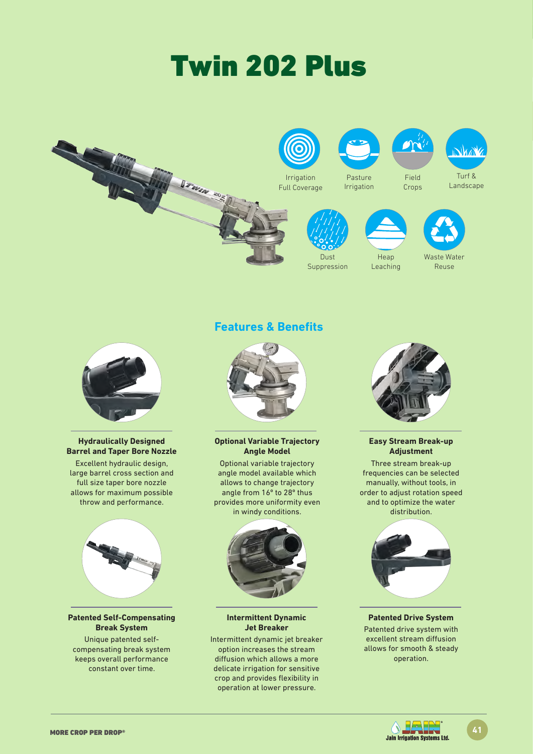# Twin 202 Plus





### **Hydraulically Designed Barrel and Taper Bore Nozzle**

Excellent hydraulic design, large barrel cross section and full size taper bore nozzle allows for maximum possible throw and performance.



### **Patented Self-Compensating Break System**

Unique patented selfcompensating break system keeps overall performance constant over time.

### **Features & Benefits**



**Optional Variable Trajectory Angle Model** 

Optional variable trajectory angle model available which allows to change trajectory angle from 16º to 28º thus provides more uniformity even in windy conditions.



### **Intermittent Dynamic Jet Breaker**

Intermittent dynamic jet breaker option increases the stream diffusion which allows a more delicate irrigation for sensitive crop and provides flexibility in operation at lower pressure.



### **Easy Stream Break-up Adjustment**

Three stream break-up frequencies can be selected manually, without tools, in order to adjust rotation speed and to optimize the water distribution.



### **Patented Drive System**

Patented drive system with excellent stream diffusion allows for smooth & steady operation.